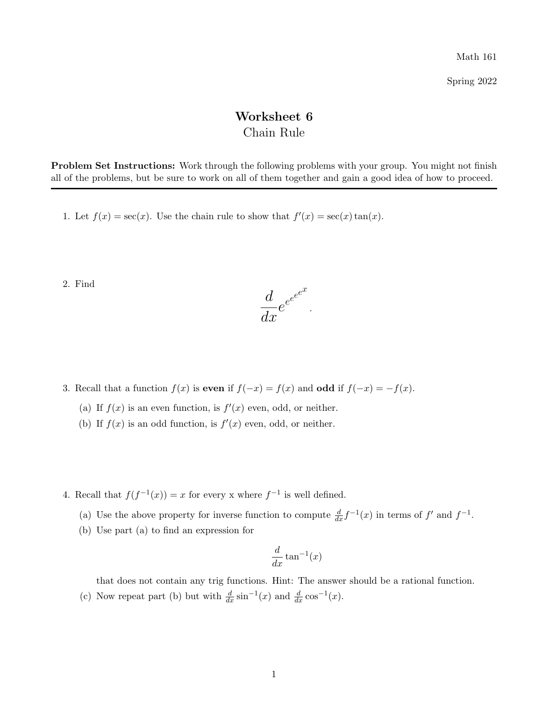Math 161

Spring 2022

## Worksheet 6 Chain Rule

Problem Set Instructions: Work through the following problems with your group. You might not finish all of the problems, but be sure to work on all of them together and gain a good idea of how to proceed.

1. Let  $f(x) = \sec(x)$ . Use the chain rule to show that  $f'(x) = \sec(x) \tan(x)$ .

2. Find



- 3. Recall that a function  $f(x)$  is even if  $f(-x) = f(x)$  and odd if  $f(-x) = -f(x)$ .
	- (a) If  $f(x)$  is an even function, is  $f'(x)$  even, odd, or neither.
	- (b) If  $f(x)$  is an odd function, is  $f'(x)$  even, odd, or neither.
- 4. Recall that  $f(f^{-1}(x)) = x$  for every x where  $f^{-1}$  is well defined.
	- (a) Use the above property for inverse function to compute  $\frac{d}{dx} f^{-1}(x)$  in terms of  $f'$  and  $f^{-1}$ .
	- (b) Use part (a) to find an expression for

$$
\frac{d}{dx}\tan^{-1}(x)
$$

that does not contain any trig functions. Hint: The answer should be a rational function.

(c) Now repeat part (b) but with  $\frac{d}{dx} \sin^{-1}(x)$  and  $\frac{d}{dx} \cos^{-1}(x)$ .